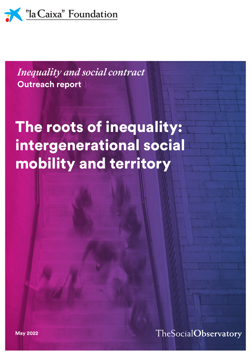

**Outreach report** *Inequality and social contract*

# The roots of inequality: intergenerational social mobility and territory

TheSocialObservatory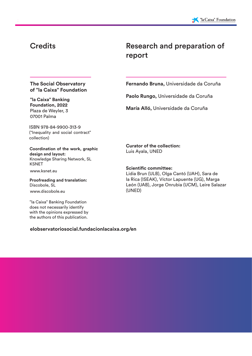### **Credits**

### Research and preparation of report

#### **The Social Observatory of "la Caixa" Foundation**

**"la Caixa" Banking Foundation, 2022**  Plaza de Weyler, 3 07001 Palma

ISBN 978-84-9900-313-9 ("Inequality and social contract" collection)

**Coordination of the work, graphic design and layout:**  Knowledge Sharing Network, SL KSNET

www.ksnet.eu

www.discobole.eu **Proofreading and translation:**  Discobole, SL

"la Caixa" Banking Foundation does not necessarily identify with the opinions expressed by the authors of this publication.

#### **elobservatoriosocial.fundacionlacaixa.org/en**

**Fernando Bruna,** Universidade da Coruña

**Paolo Rungo,** Universidade da Coruña

**María Alló,** Universidade da Coruña

**Curator of the collection:** Luis Ayala, UNED

**Scientific committee:** Lidia Brun (ULB), Olga Cantó (UAH), Sara de la Rica (ISEAK), Víctor Lapuente (UG), Marga León (UAB), Jorge Onrubia (UCM), Leire Salazar (UNED)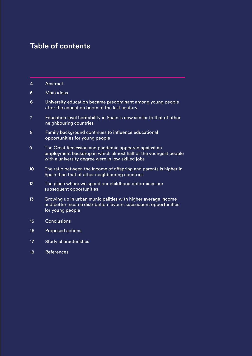### Table of contents

- 4 Abstract
- 5 Main ideas
- 6 University education became predominant among young people after the education boom of the last century
- 7 Education level heritability in Spain is now similar to that of other neighbouring countries
- 8 Family background continues to influence educational opportunities for young people
- 9 The Great Recession and pandemic appeared against an employment backdrop in which almost half of the youngest people with a university degree were in low-skilled jobs
- 10 The ratio between the income of offspring and parents is higher in Spain than that of other neighbouring countries
- 12 The place where we spend our childhood determines our subsequent opportunities
- 13 Growing up in urban municipalities with higher average income and better income distribution favours subsequent opportunities for young people
- 15 Conclusions
- 16 Proposed actions
- 17 Study characteristics
- 18 References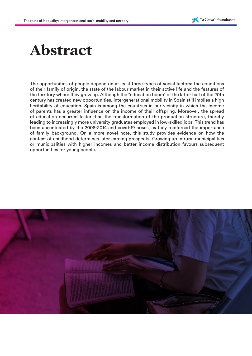# **Abstract**

The opportunities of people depend on at least three types of social factors: the conditions of their family of origin, the state of the labour market in their active life and the features of the territory where they grew up. Although the "education boom" of the latter half of the 20th century has created new opportunities, intergenerational mobility in Spain still implies a high heritability of education. Spain is among the countries in our vicinity in which the income of parents has a greater influence on the income of their offspring. Moreover, the spread of education occurred faster than the transformation of the production structure, thereby leading to increasingly more university graduates employed in low-skilled jobs. This trend has been accentuated by the 2008-2014 and covid-19 crises, as they reinforced the importance of family background. On a more novel note, this study provides evidence on how the context of childhood determines later earning prospects. Growing up in rural municipalities or municipalities with higher incomes and better income distribution favours subsequent opportunities for young people.

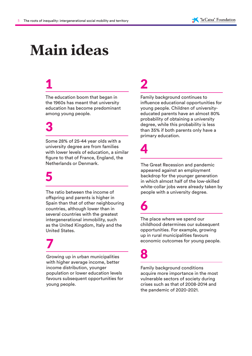# **Main ideas**

# 1

The education boom that began in the 1960s has meant that university education has become predominant among young people.

# 3

Some 28% of 25-44 year olds with a university degree are from families with lower levels of education, a similar figure to that of France, England, the Netherlands or Denmark.

## 5

The ratio between the income of offspring and parents is higher in Spain than that of other neighbouring countries, although lower than in several countries with the greatest intergenerational immobility, such as the United Kingdom, Italy and the United States.

## 7

Growing up in urban municipalities with higher average income, better income distribution, younger population or lower education levels favours subsequent opportunities for young people.

# 2

Family background continues to influence educational opportunities for young people. Children of universityeducated parents have an almost 80% probability of obtaining a university degree, while this probability is less than 35% if both parents only have a primary education.

## 4

The Great Recession and pandemic appeared against an employment backdrop for the younger generation in which almost half of the low-skilled white-collar jobs were already taken by people with a university degree.

## 6

The place where we spend our childhood determines our subsequent opportunities. For example, growing up in rural municipalities favours economic outcomes for young people.

## 8

Family background conditions acquire more importance in the most vulnerable sectors of society during crises such as that of 2008-2014 and the pandemic of 2020-2021.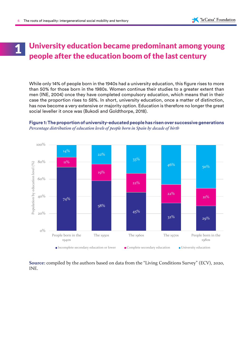### University education became predominant among young people after the education boom of the last century 1

While only 14% of people born in the 1940s had a university education, this figure rises to more than 50% for those born in the 1980s. Women continue their studies to a greater extent than men (INE, 2004) once they have completed compulsory education, which means that in their case the proportion rises to 58%. In short, university education, once a matter of distinction, has now become a very extensive or majority option. Education is therefore no longer the great social leveller it once was (Bukodi and Goldthorpe, 2018).

#### **Figure 1: The proportion of university-educated people has risen over successive generations**  *Percentage distribution of education levels of people born in Spain by decade of birth*



**Source:** compiled by the authors based on data from the "Living Conditions Survey" (ECV), 2020, INE.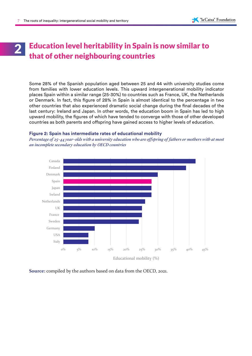## Education level heritability in Spain is now similar to that of other neighbouring countries 2

Some 28% of the Spanish population aged between 25 and 44 with university studies come from families with lower education levels. This upward intergenerational mobility indicator places Spain within a similar range (25-30%) to countries such as France, UK, the Netherlands or Denmark. In fact, this figure of 28% in Spain is almost identical to the percentage in two other countries that also experienced dramatic social change during the final decades of the last century: Ireland and Japan. In other words, the education boom in Spain has led to high upward mobility, the figures of which have tended to converge with those of other developed countries as both parents and offspring have gained access to higher levels of education.

#### **Figure 2: Spain has intermediate rates of educational mobility**

*Percentage of 25-44 year-olds with a university education who are offspring of fathers or mothers with at most an incomplete secondary education by OECD countries*



**Source:** compiled by the authors based on data from the OECD, 2021.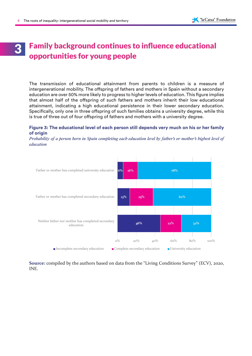## Family background continues to influence educational **3** Family background continues to<br>opportunities for young people

The transmission of educational attainment from parents to children is a measure of intergenerational mobility. The offspring of fathers and mothers in Spain without a secondary education are over 50% more likely to progress to higher levels of education. This figure implies that almost half of the offspring of such fathers and mothers inherit their low educational attainment, indicating a high educational persistence in their lower secondary education. Specifically, only one in three offspring of such families obtains a university degree, while this is true of three out of four offspring of fathers and mothers with a university degree.

#### **Figure 3: The educational level of each person still depends very much on his or her family of origin**

*Probability of a person born in Spain completing each education level by father's or mother's highest level of education*



**Source:** compiled by the authors based on data from the "Living Conditions Survey" (ECV), 2020, INE.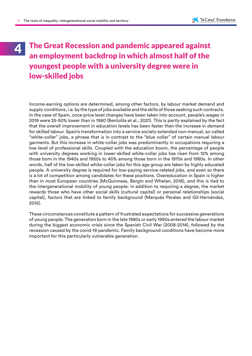### The Great Recession and pandemic appeared against an employment backdrop in which almost half of the youngest people with a university degree were in low-skilled jobs 4

Income-earning options are determined, among other factors, by labour market demand and supply conditions, i.e. by the type of jobs available and the skills of those seeking such contracts. In the case of Spain, once price level changes have been taken into account, people's wages in 2019 were 25-50% lower than in 1980 (Bentolila et al., 2021). This is partly explained by the fact that the overall improvement in education levels has been faster than the increase in demand for skilled labour. Spain's transformation into a service society extended non-manual, so-called "white-collar" jobs, a phrase that is in contrast to the "blue collar" of certain manual labour garments. But this increase in white-collar jobs was predominantly in occupations requiring a low level of professional skills. Coupled with the education boom, the percentage of people with university degrees working in lower-skilled white-collar jobs has risen from 12% among those born in the 1940s and 1950s to 45% among those born in the 1970s and 1980s. In other words, half of the low-skilled white-collar jobs for this age group are taken by highly educated people. A university degree is required for low-paying service-related jobs, and even so there is a lot of competition among candidates for these positions. Overeducation in Spain is higher than in most European countries (McGuinness, Bergin and Whelan, 2018), and this is tied to the intergenerational mobility of young people: in addition to requiring a degree, the market rewards those who have other social skills (cultural capital) or personal relationships (social capital), factors that are linked to family background (Marqués Perales and Gil-Hernández, 2015).

These circumstances constitute a pattern of frustrated expectations for successive generations of young people. The generation born in the late 1980s or early 1990s entered the labour market during the biggest economic crisis since the Spanish Civil War (2008-2014), followed by the recession caused by the covid-19 pandemic. Family background conditions have become more important for this particularly vulnerable generation.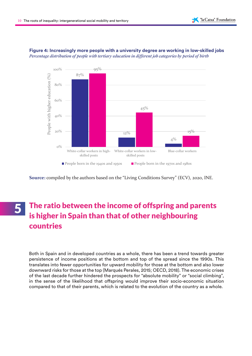

#### **Figure 4: Increasingly more people with a university degree are working in low-skilled jobs** *Percentage distribution of people with tertiary education in different job categories by period of birth*

**Source:** compiled by the authors based on the "Living Conditions Survey" (ECV), 2020, INE.

## The ratio between the income of offspring and parents is higher in Spain than that of other neighbouring countries

Both in Spain and in developed countries as a whole, there has been a trend towards greater persistence of income positions at the bottom and top of the spread since the 1990s. This translates into fewer opportunities for upward mobility for those at the bottom and also lower downward risks for those at the top (Marqués Perales, 2015; OECD, 2018). The economic crises of the last decade further hindered the prospects for "absolute mobility" or "social climbing", in the sense of the likelihood that offspring would improve their socio-economic situation compared to that of their parents, which is related to the evolution of the country as a whole.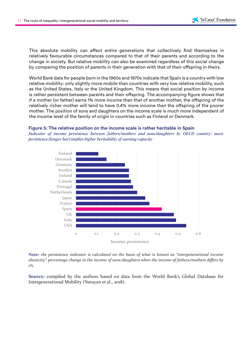This absolute mobility can affect entire generations that collectively find themselves in relatively favourable circumstances compared to that of their parents and according to the change in society. But relative mobility can also be examined regardless of this social change by comparing the position of parents in their generation with that of their offspring in theirs.

World Bank data for people born in the 1960s and 1970s indicate that Spain is a country with low relative mobility: only slightly more mobile than countries with very low relative mobility, such as the United States, Italy or the United Kingdom. This means that social position by income is rather persistent between parents and their offspring. The accompanying figure shows that if a mother (or father) earns 1% more income than that of another mother, the offspring of the relatively richer mother will tend to have 0.4% more income than the offspring of the poorer mother. The position of sons and daughters on the income scale is much more independent of the income level of the family of origin in countries such as Finland or Denmark.

#### **Figure 5: The relative position on the income scale is rather heritable in Spain**

*Indicator of income persistence between fathers/mothers and sons/daughters by OECD country: more persistence (longer bar) implies higher heritability of earning capacity*



**Note:** *the persistence indicator is calculated on the basis of what is known as "intergenerational income elasticity": percentage change in the income of sons/daughters when the income of fathers/mothers differs by 1%.*

**Source:** compiled by the authors based on data from the World Bank's Global Database for Intergenerational Mobility (Narayan et al., 2018).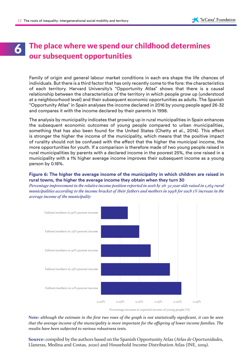## The place where we spend our childhood determines **our subsequent opportunities**<br>**C**our subsequent opportunities

Family of origin and general labour market conditions in each era shape the life chances of individuals. But there is a third factor that has only recently come to the fore: the characteristics of each territory. Harvard University's "Opportunity Atlas" shows that there is a causal relationship between the characteristics of the territory in which people grow up (understood at a neighbourhood level) and their subsequent economic opportunities as adults. The Spanish "Opportunity Atlas" in Spain analyses the income declared in 2016 by young people aged 26-32 and compares it with the income declared by their parents in 1998.

The analysis by municipality indicates that growing up in rural municipalities in Spain enhances the subsequent economic outcomes of young people compared to urban municipalities, something that has also been found for the United States (Chetty et al., 2014). This effect is stronger the higher the income of the municipality, which means that the positive impact of rurality should not be confused with the effect that the higher the municipal income, the more opportunities for youth. If a comparison is therefore made of two young people raised in rural municipalities by parents with a declared income in the poorest 25%, the one raised in a municipality with a 1% higher average income improves their subsequent income as a young person by 0.18%.

#### **Figure 6: The higher the average income of the municipality in which children are raised in rural towns, the higher the average income they obtain when they turn 30**

*Percentage improvement in the relative income position reported in 2016 by 26-32 year olds raised in 1,164 rural municipalities according to the income bracket of their fathers and mothers in 1998 for each 1% increase in the average income of the municipality*



Percentage increase in reported income of young people (%)

**Note:** *although the estimate in the first two rows of the graph is not statistically significant, it can be seen that the average income of the municipality is more important for the offspring of lower income families. The results have been subjected to various robustness tests.*

**Source:** compiled by the authors based on the Spanish Opportunity Atlas (*Atlas de Oportunidades*, Llaneras, Medina and Costas, 2020) and Household Income Distribution Atlas (INE, 2019).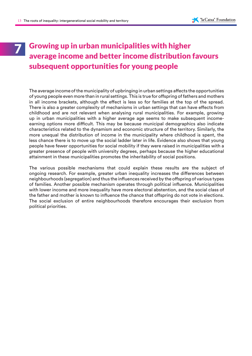### Growing up in urban municipalities with higher average income and better income distribution favours subsequent opportunities for young people 7

The average income of the municipality of upbringing in urban settings affects the opportunities of young people even more than in rural settings. This is true for offspring of fathers and mothers in all income brackets, although the effect is less so for families at the top of the spread. There is also a greater complexity of mechanisms in urban settings that can have effects from childhood and are not relevant when analysing rural municipalities. For example, growing up in urban municipalities with a higher average age seems to make subsequent incomeearning options more difficult. This may be because municipal demographics also indicate characteristics related to the dynamism and economic structure of the territory. Similarly, the more unequal the distribution of income in the municipality where childhood is spent, the less chance there is to move up the social ladder later in life. Evidence also shows that young people have fewer opportunities for social mobility if they were raised in municipalities with a greater presence of people with university degrees, perhaps because the higher educational attainment in these municipalities promotes the inheritability of social positions.

The various possible mechanisms that could explain these results are the subject of ongoing research. For example, greater urban inequality increases the differences between neighbourhoods (segregation) and thus the influences received by the offspring of various types of families. Another possible mechanism operates through political influence. Municipalities with lower income and more inequality have more electoral abstention, and the social class of the father and mother is known to influence the chance that offspring do not vote in elections. The social exclusion of entire neighbourhoods therefore encourages their exclusion from political priorities.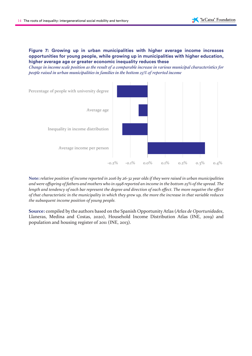#### **Figure 7: Growing up in urban municipalities with higher average income increases opportunities for young people, while growing up in municipalities with higher education, higher average age or greater economic inequality reduces these**

*Change in income scale position as the result of a comparable increase in various municipal characteristics for people raised in urban municipalities in families in the bottom 25% of reported income* 



**Note:** *relative position of income reported in 2016 by 26-32 year olds if they were raised in urban municipalities and were offspring of fathers and mothers who in 1998 reported an income in the bottom 25% of the spread. The length and tendency of each bar represent the degree and direction of each effect. The more negative the effect of that characteristic in the municipality in which they grew up, the more the increase in that variable reduces the subsequent income position of young people.*

**Source:** compiled by the authors based on the Spanish Opportunity Atlas (*Atlas de Oportunidades*, Llaneras, Medina and Costas, 2020), Household Income Distribution Atlas (INE, 2019) and population and housing register of 2011 (INE, 2013).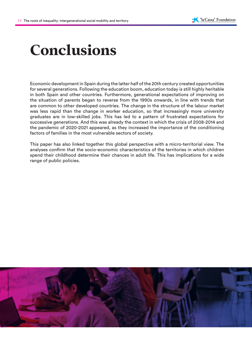# **Conclusions**

Economic development in Spain during the latter half of the 20th century created opportunities for several generations. Following the education boom, education today is still highly heritable in both Spain and other countries. Furthermore, generational expectations of improving on the situation of parents began to reverse from the 1990s onwards, in line with trends that are common to other developed countries. The change in the structure of the labour market was less rapid than the change in worker education, so that increasingly more university graduates are in low-skilled jobs. This has led to a pattern of frustrated expectations for successive generations. And this was already the context in which the crisis of 2008-2014 and the pandemic of 2020-2021 appeared, as they increased the importance of the conditioning factors of families in the most vulnerable sectors of society.

This paper has also linked together this global perspective with a micro-territorial view. The analyses confirm that the socio-economic characteristics of the territories in which children spend their childhood determine their chances in adult life. This has implications for a wide range of public policies.

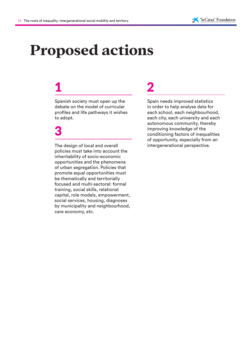# **Proposed actions**

## 1

Spanish society must open up the debate on the model of curricular profiles and life pathways it wishes to adopt.

## 3

The design of local and overall policies must take into account the inheritability of socio-economic opportunities and the phenomena of urban segregation. Policies that promote equal opportunities must be thematically and territorially focused and multi-sectoral: formal training, social skills, relational capital, role models, empowerment, social services, housing, diagnoses by municipality and neighbourhood, care economy, etc.

# 2

Spain needs improved statistics in order to help analyse data for each school, each neighbourhood, each city, each university and each autonomous community, thereby improving knowledge of the conditioning factors of inequalities of opportunity, especially from an intergenerational perspective.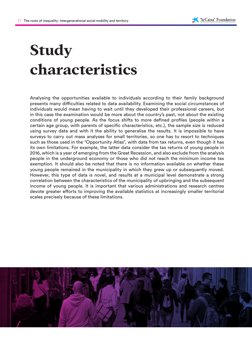# **Study characteristics**

Analysing the opportunities available to individuals according to their family background presents many difficulties related to data availability. Examining the social circumstances of individuals would mean having to wait until they developed their professional careers, but in this case the examination would be more about the country's past, not about the existing conditions of young people. As the focus shifts to more defined profiles (people within a certain age group, with parents of specific characteristics, etc.), the sample size is reduced using survey data and with it the ability to generalise the results. It is impossible to have surveys to carry out mass analyses for small territories, so one has to resort to techniques such as those used in the "Opportunity Atlas", with data from tax returns, even though it has its own limitations. For example, the latter data consider the tax returns of young people in 2016, which is a year of emerging from the Great Recession, and also exclude from the analysis people in the underground economy or those who did not reach the minimum income tax exemption. It should also be noted that there is no information available on whether these young people remained in the municipality in which they grew up or subsequently moved. However, this type of data is novel, and results at a municipal level demonstrate a strong correlation between the characteristics of the municipality of upbringing and the subsequent income of young people. It is important that various administrations and research centres devote greater efforts to improving the available statistics at increasingly smaller territorial scales precisely because of these limitations.

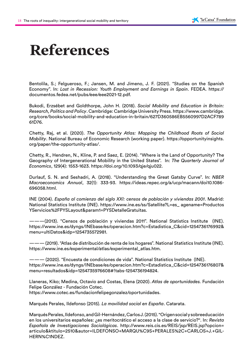# **References**

Bentolila, S.; Felgueroso, F.; Jansen, M. and Jimeno, J. F. (2021). "Studies on the Spanish Economy". In: *Lost in Recession: Youth Employment and Earnings in Spain*. FEDEA. https:// documentos.fedea.net/pubs/eee/eee2021-12.pdf.

Bukodi, Erzsébet and Goldthorpe, John H. (2018). *Social Mobility and Education in Britain: Research, Politics and Policy*. Cambridge: Cambridge University Press. https://www.cambridge. org/core/books/social-mobility-and-education-in-britain/627D360586EB5560997D2ACF789 61D76.

Chetty, Raj, et al. (2020). *The Opportunity Atlas: Mapping the Childhood Roots of Social Mobility*. National Bureau of Economic Research (working paper). https://opportunityinsights. org/paper/the-opportunity-atlas/.

Chetty, R., Hendren, N., Kline, P. and Saez, E. (2014). "Where is the Land of Opportunity? The Geography of Intergenerational Mobility in the United States". In: *The Quarterly Journal of Economics*, 129(4): 1553-1623. https://doi.org/10.1093/qje/qju022.

Durlauf, S. N. and Seshadri, A. (2018). "Understanding the Great Gatsby Curve". In: *NBER Macroeconomics Annual*, 32(1): 333-93. https://ideas.repec.org/a/ucp/macann/doi10.1086- 696058.html.

INE (2004). *España al comienzo del siglo XXI: censos de población y viviendas 2001*. Madrid: National Statistics Institute (INE). https://www.ine.es/ss/Satellite?L=es\_ agename=Productos YServicios%2FPYSLayout&param1=PYSDetalleGratuitas.

———(2013). "Censos de población y viviendas 2011". National Statistics Institute (INE). https://www.ine.es/dyngs/INEbase/es/operacion.htm?c=Estadistica\_C&cid=1254736176992& menu=ultiDatos&idp=1254735572981.

——— (2019). "Atlas de distribución de renta de los hogares". National Statistics Institute (INE). https://www.ine.es/experimental/atlas/experimental\_atlas.htm.

——— (2020). "Encuesta de condiciones de vida". National Statistics Institute (INE). https://www.ine.es/dyngs/INEbase/es/operacion.htm?c=Estadistica\_C&cid=1254736176807& menu=resultados&idp=1254735976608#!tabs-1254736194824.

Llaneras, Kiko; Medina, Octavio and Costas, Elena (2020). *Atlas de oportunidades.* Fundación Felipe González - Fundación Cotec.

https://www.cotec.es/fundacionfelipegonzalez/oportunidades.

Marqués Perales, Ildefonso (2015). *La movilidad social en España*. Catarata.

Marqués Perales, Ildefonso, and Gil-Hernández, Carlos J. (2015). "Origen social y sobreeducación en los universitarios españoles: ¿es meritocrático el acceso a la clase de servicio?". In: *Revista Española de Investigaciones Sociológicas*. http://www.reis.cis.es/REIS/jsp/REIS.jsp?opcion= articulo&ktitulo=2510&autor=ILDEFONSO+MARQU%C9S+PERALES%2C+CARLOS+J.+GIL-HERN%C1NDEZ.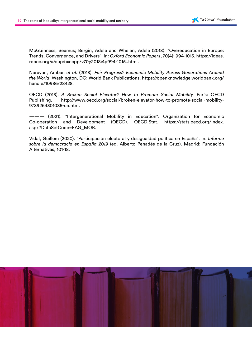McGuinness, Seamus; Bergin, Adele and Whelan, Adele (2018). "Overeducation in Europe: Trends, Convergence, and Drivers". In: *Oxford Economic Papers*, 70(4): 994-1015. https://ideas. repec.org/a/oup/oxecpp/v70y2018i4p994-1015..html.

Narayan, Ambar, *et al.* (2018). *Fair Progress? Economic Mobility Across Generations Around the World*. Washington, DC: World Bank Publications. https://openknowledge.worldbank.org/ handle/10986/28428.

OECD (2018). *A Broken Social Elevator? How to Promote Social Mobility.* París: OECD Publishing. http://www.oecd.org/social/broken-elevator-how-to-promote-social-mobility-9789264301085-en.htm.

——— (2021). "Intergenerational Mobility in Education". Organization for Economic Co-operation and Development (OECD). OECD.Stat. https://stats.oecd.org/Index. aspx?DataSetCode=EAG\_MOB.

Vidal, Guillem (2020). "Participación electoral y desigualdad política en España". In: *Informe sobre la democracia en España 2019* (ed. Alberto Penadés de la Cruz). Madrid: Fundación Alternativas, 101-18.